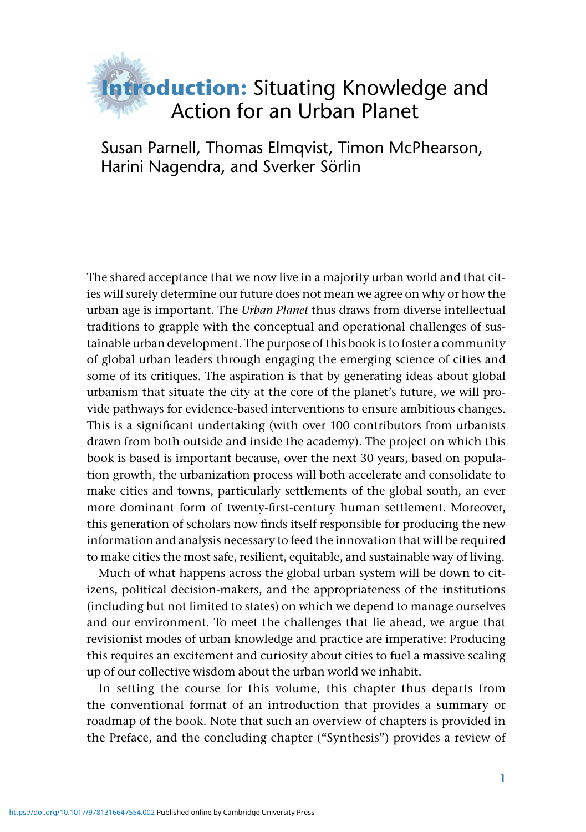

Susan Parnell, Thomas Elmqvist, Timon McPhearson, Harini Nagendra, and Sverker Sörlin

 The shared acceptance that we now live in a majority urban world and that cities will surely determine our future does not mean we agree on why or how the urban age is important. The *Urban Planet* thus draws from diverse intellectual traditions to grapple with the conceptual and operational challenges of sustainable urban development. The purpose of this book is to foster a community of global urban leaders through engaging the emerging science of cities and some of its critiques. The aspiration is that by generating ideas about global urbanism that situate the city at the core of the planet's future, we will provide pathways for evidence-based interventions to ensure ambitious changes. This is a significant undertaking (with over 100 contributors from urbanists drawn from both outside and inside the academy). The project on which this book is based is important because, over the next 30 years, based on population growth, the urbanization process will both accelerate and consolidate to make cities and towns, particularly settlements of the global south, an ever more dominant form of twenty-first-century human settlement. Moreover, this generation of scholars now finds itself responsible for producing the new information and analysis necessary to feed the innovation that will be required to make cities the most safe, resilient, equitable, and sustainable way of living.

 Much of what happens across the global urban system will be down to citizens, political decision-makers, and the appropriateness of the institutions (including but not limited to states) on which we depend to manage ourselves and our environment. To meet the challenges that lie ahead, we argue that revisionist modes of urban knowledge and practice are imperative: Producing this requires an excitement and curiosity about cities to fuel a massive scaling up of our collective wisdom about the urban world we inhabit.

 In setting the course for this volume, this chapter thus departs from the conventional format of an introduction that provides a summary or roadmap of the book. Note that such an overview of chapters is provided in the Preface, and the concluding chapter ("Synthesis") provides a review of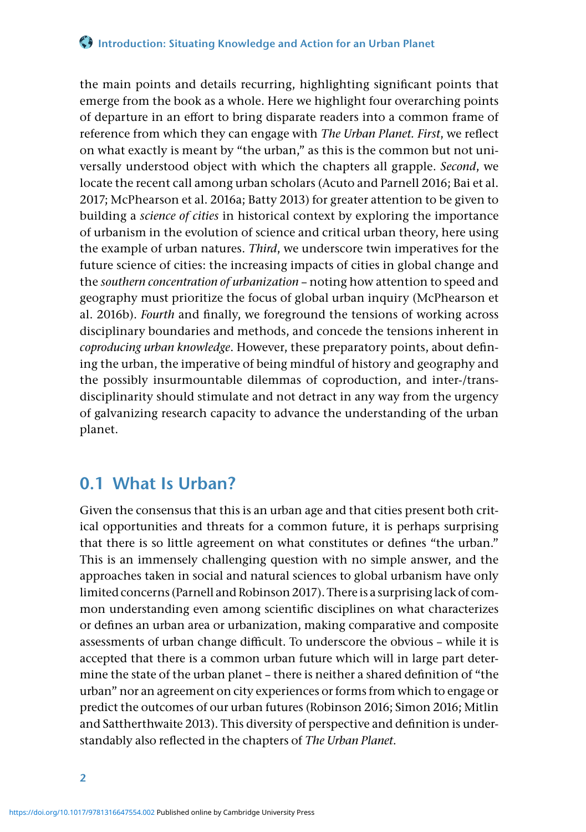### **Introduction: Situating Knowledge and Action for an Urban Planet**

the main points and details recurring, highlighting significant points that emerge from the book as a whole. Here we highlight four overarching points of departure in an effort to bring disparate readers into a common frame of reference from which they can engage with *The Urban Planet. First*, we reflect on what exactly is meant by "the urban," as this is the common but not universally understood object with which the chapters all grapple. *Second*, we locate the recent call among urban scholars (Acuto and Parnell 2016; Bai et al. 2017; McPhearson et al. 2016a; Batty 2013) for greater attention to be given to building a *science of cities* in historical context by exploring the importance of urbanism in the evolution of science and critical urban theory, here using the example of urban natures. *Third*, we underscore twin imperatives for the future science of cities: the increasing impacts of cities in global change and the *southern concentration of urbanization* – noting how attention to speed and geography must prioritize the focus of global urban inquiry (McPhearson et al. 2016b). *Fourth* and finally, we foreground the tensions of working across disciplinary boundaries and methods, and concede the tensions inherent in *coproducing urban knowledge*. However, these preparatory points, about defining the urban, the imperative of being mindful of history and geography and the possibly insurmountable dilemmas of coproduction, and inter-/transdisciplinarity should stimulate and not detract in any way from the urgency of galvanizing research capacity to advance the understanding of the urban planet.

# **0.1 What Is Urban?**

Given the consensus that this is an urban age and that cities present both critical opportunities and threats for a common future, it is perhaps surprising that there is so little agreement on what constitutes or defines "the urban." This is an immensely challenging question with no simple answer, and the approaches taken in social and natural sciences to global urbanism have only limited concerns (Parnell and Robinson 2017). There is a surprising lack of common understanding even among scientific disciplines on what characterizes or defines an urban area or urbanization, making comparative and composite assessments of urban change difficult. To underscore the obvious – while it is accepted that there is a common urban future which will in large part determine the state of the urban planet – there is neither a shared definition of "the urban" nor an agreement on city experiences or forms from which to engage or predict the outcomes of our urban futures (Robinson 2016; Simon 2016; Mitlin and Sattherthwaite 2013). This diversity of perspective and definition is understandably also reflected in the chapters of *The Urban Planet*.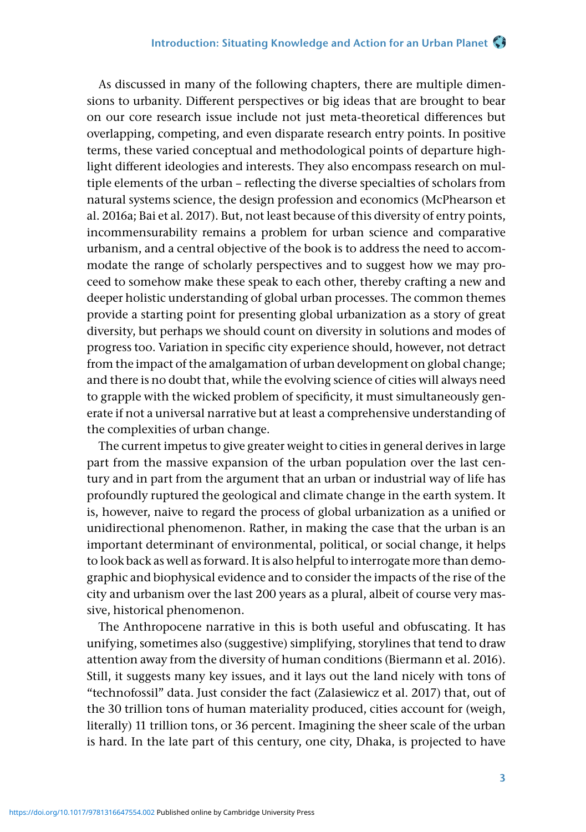As discussed in many of the following chapters, there are multiple dimensions to urbanity. Different perspectives or big ideas that are brought to bear on our core research issue include not just meta-theoretical differences but overlapping, competing, and even disparate research entry points. In positive terms, these varied conceptual and methodological points of departure highlight different ideologies and interests. They also encompass research on multiple elements of the urban – reflecting the diverse specialties of scholars from natural systems science, the design profession and economics (McPhearson et al. 2016a; Bai et al. 2017). But, not least because of this diversity of entry points, incommensurability remains a problem for urban science and comparative urbanism, and a central objective of the book is to address the need to accommodate the range of scholarly perspectives and to suggest how we may proceed to somehow make these speak to each other, thereby crafting a new and deeper holistic understanding of global urban processes. The common themes provide a starting point for presenting global urbanization as a story of great diversity, but perhaps we should count on diversity in solutions and modes of progress too. Variation in specific city experience should, however, not detract from the impact of the amalgamation of urban development on global change; and there is no doubt that, while the evolving science of cities will always need to grapple with the wicked problem of specificity, it must simultaneously generate if not a universal narrative but at least a comprehensive understanding of the complexities of urban change.

The current impetus to give greater weight to cities in general derives in large part from the massive expansion of the urban population over the last century and in part from the argument that an urban or industrial way of life has profoundly ruptured the geological and climate change in the earth system. It is, however, naive to regard the process of global urbanization as a unified or unidirectional phenomenon. Rather, in making the case that the urban is an important determinant of environmental, political, or social change, it helps to look back as well as forward. It is also helpful to interrogate more than demographic and biophysical evidence and to consider the impacts of the rise of the city and urbanism over the last 200 years as a plural, albeit of course very massive, historical phenomenon.

The Anthropocene narrative in this is both useful and obfuscating. It has unifying, sometimes also (suggestive) simplifying, storylines that tend to draw attention away from the diversity of human conditions (Biermann et al. 2016). Still, it suggests many key issues, and it lays out the land nicely with tons of "technofossil" data. Just consider the fact (Zalasiewicz et al. 2017) that, out of the 30 trillion tons of human materiality produced, cities account for (weigh, literally) 11 trillion tons, or 36 percent. Imagining the sheer scale of the urban is hard. In the late part of this century, one city, Dhaka, is projected to have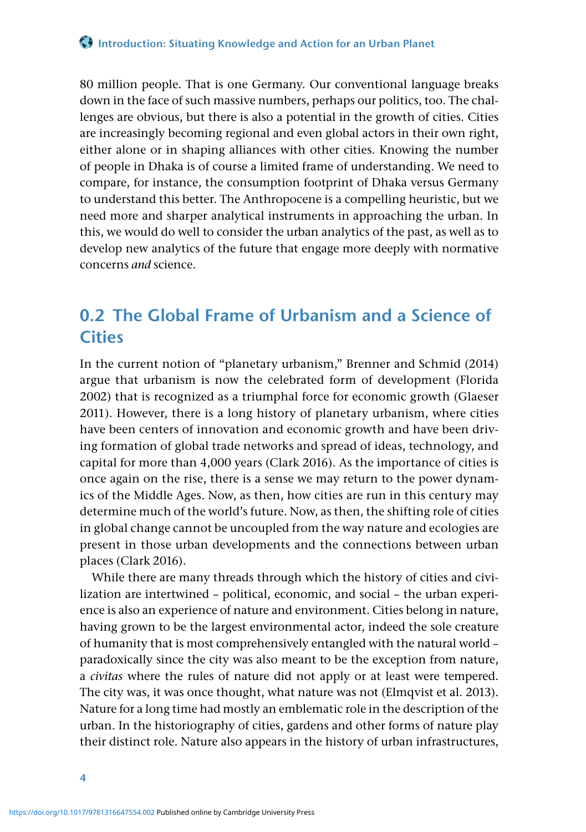80 million people. That is one Germany. Our conventional language breaks down in the face of such massive numbers, perhaps our politics, too. The challenges are obvious, but there is also a potential in the growth of cities. Cities are increasingly becoming regional and even global actors in their own right, either alone or in shaping alliances with other cities. Knowing the number of people in Dhaka is of course a limited frame of understanding. We need to compare, for instance, the consumption footprint of Dhaka versus Germany to understand this better. The Anthropocene is a compelling heuristic, but we need more and sharper analytical instruments in approaching the urban. In this, we would do well to consider the urban analytics of the past, as well as to develop new analytics of the future that engage more deeply with normative concerns *and* science.

# **0.2 The Global Frame of Urbanism and a Science of Cities**

In the current notion of "planetary urbanism," Brenner and Schmid (2014) argue that urbanism is now the celebrated form of development (Florida 2002) that is recognized as a triumphal force for economic growth (Glaeser 2011). However, there is a long history of planetary urbanism, where cities have been centers of innovation and economic growth and have been driving formation of global trade networks and spread of ideas, technology, and capital for more than 4,000 years (Clark 2016). As the importance of cities is once again on the rise, there is a sense we may return to the power dynamics of the Middle Ages. Now, as then, how cities are run in this century may determine much of the world's future. Now, as then, the shifting role of cities in global change cannot be uncoupled from the way nature and ecologies are present in those urban developments and the connections between urban places (Clark 2016).

While there are many threads through which the history of cities and civilization are intertwined – political, economic, and social – the urban experience is also an experience of nature and environment. Cities belong in nature, having grown to be the largest environmental actor, indeed the sole creature of humanity that is most comprehensively entangled with the natural world – paradoxically since the city was also meant to be the exception from nature, a *civitas* where the rules of nature did not apply or at least were tempered. The city was, it was once thought, what nature was not (Elmqvist et al. 2013). Nature for a long time had mostly an emblematic role in the description of the urban. In the historiography of cities, gardens and other forms of nature play their distinct role. Nature also appears in the history of urban infrastructures,

**4**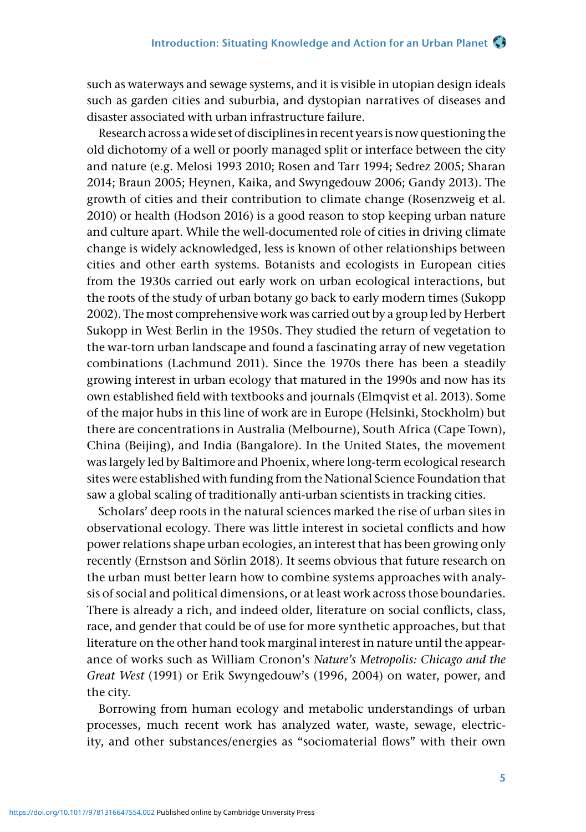such as waterways and sewage systems, and it is visible in utopian design ideals such as garden cities and suburbia, and dystopian narratives of diseases and disaster associated with urban infrastructure failure.

Research across a wide set of disciplines in recent years is now questioning the old dichotomy of a well or poorly managed split or interface between the city and nature (e.g. Melosi 1993 2010; Rosen and Tarr 1994; Sedrez 2005; Sharan 2014; Braun 2005; Heynen, Kaika, and Swyngedouw 2006; Gandy 2013). The growth of cities and their contribution to climate change (Rosenzweig et al. 2010) or health (Hodson 2016) is a good reason to stop keeping urban nature and culture apart. While the well-documented role of cities in driving climate change is widely acknowledged, less is known of other relationships between cities and other earth systems. Botanists and ecologists in European cities from the 1930s carried out early work on urban ecological interactions, but the roots of the study of urban botany go back to early modern times (Sukopp 2002). The most comprehensive work was carried out by a group led by Herbert Sukopp in West Berlin in the 1950s. They studied the return of vegetation to the war-torn urban landscape and found a fascinating array of new vegetation combinations (Lachmund 2011). Since the 1970s there has been a steadily growing interest in urban ecology that matured in the 1990s and now has its own established field with textbooks and journals (Elmqvist et al. 2013). Some of the major hubs in this line of work are in Europe (Helsinki, Stockholm) but there are concentrations in Australia (Melbourne), South Africa (Cape Town), China (Beijing), and India (Bangalore). In the United States, the movement was largely led by Baltimore and Phoenix, where long-term ecological research sites were established with funding from the National Science Foundation that saw a global scaling of traditionally anti-urban scientists in tracking cities.

Scholars' deep roots in the natural sciences marked the rise of urban sites in observational ecology. There was little interest in societal conflicts and how power relations shape urban ecologies, an interest that has been growing only recently (Ernstson and Sörlin 2018). It seems obvious that future research on the urban must better learn how to combine systems approaches with analysis of social and political dimensions, or at least work across those boundaries. There is already a rich, and indeed older, literature on social conflicts, class, race, and gender that could be of use for more synthetic approaches, but that literature on the other hand took marginal interest in nature until the appearance of works such as William Cronon's *Nature's Metropolis: Chicago and the Great West* (1991) or Erik Swyngedouw's (1996, 2004) on water, power, and the city.

Borrowing from human ecology and metabolic understandings of urban processes, much recent work has analyzed water, waste, sewage, electricity, and other substances/energies as "sociomaterial flows" with their own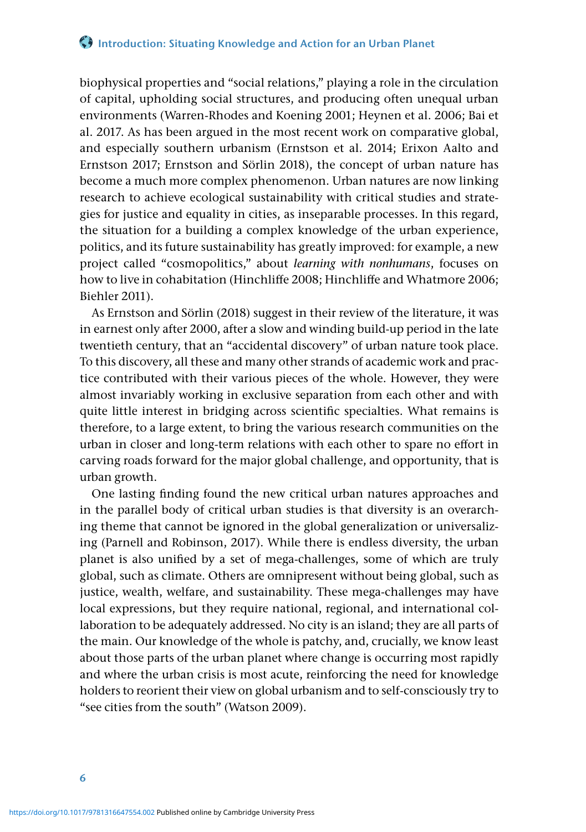biophysical properties and "social relations," playing a role in the circulation of capital, upholding social structures, and producing often unequal urban environments (Warren-Rhodes and Koening 2001; Heynen et al. 2006; Bai et al. 2017. As has been argued in the most recent work on comparative global, and especially southern urbanism (Ernstson et al. 2014; Erixon Aalto and Ernstson 2017; Ernstson and Sörlin 2018), the concept of urban nature has become a much more complex phenomenon. Urban natures are now linking research to achieve ecological sustainability with critical studies and strategies for justice and equality in cities, as inseparable processes. In this regard, the situation for a building a complex knowledge of the urban experience, politics, and its future sustainability has greatly improved: for example, a new project called "cosmopolitics," about *learning with nonhumans*, focuses on how to live in cohabitation (Hinchliffe 2008; Hinchliffe and Whatmore 2006; Biehler 2011).

As Ernstson and Sörlin (2018) suggest in their review of the literature, it was in earnest only after 2000, after a slow and winding build-up period in the late twentieth century, that an "accidental discovery" of urban nature took place. To this discovery, all these and many other strands of academic work and practice contributed with their various pieces of the whole. However, they were almost invariably working in exclusive separation from each other and with quite little interest in bridging across scientific specialties. What remains is therefore, to a large extent, to bring the various research communities on the urban in closer and long-term relations with each other to spare no effort in carving roads forward for the major global challenge, and opportunity, that is urban growth.

One lasting finding found the new critical urban natures approaches and in the parallel body of critical urban studies is that diversity is an overarching theme that cannot be ignored in the global generalization or universalizing (Parnell and Robinson, 2017). While there is endless diversity, the urban planet is also unified by a set of mega-challenges, some of which are truly global, such as climate. Others are omnipresent without being global, such as justice, wealth, welfare, and sustainability. These mega-challenges may have local expressions, but they require national, regional, and international collaboration to be adequately addressed. No city is an island; they are all parts of the main. Our knowledge of the whole is patchy, and, crucially, we know least about those parts of the urban planet where change is occurring most rapidly and where the urban crisis is most acute, reinforcing the need for knowledge holders to reorient their view on global urbanism and to self-consciously try to "see cities from the south" (Watson 2009).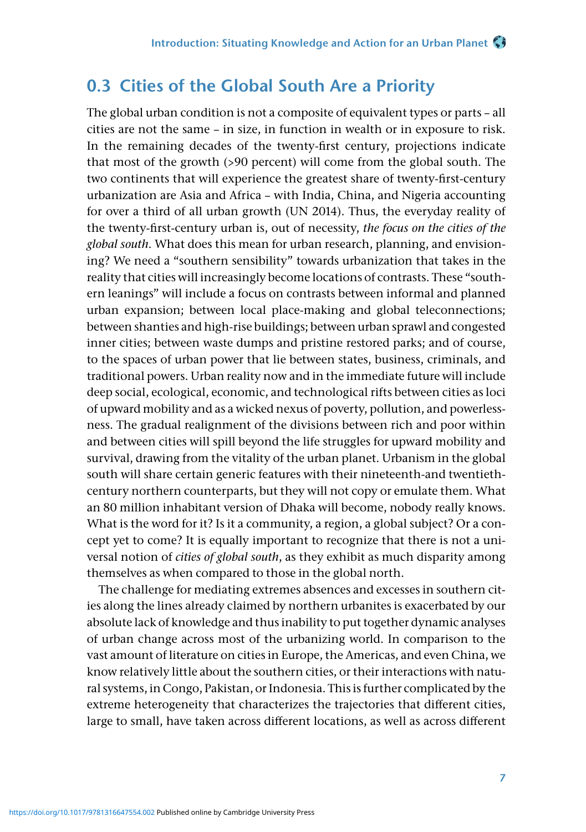# **0.3 Cities of the Global South Are a Priority**

The global urban condition is not a composite of equivalent types or parts – all cities are not the same – in size, in function in wealth or in exposure to risk. In the remaining decades of the twenty-first century, projections indicate that most of the growth (>90 percent) will come from the global south. The two continents that will experience the greatest share of twenty-first-century urbanization are Asia and Africa – with India, China, and Nigeria accounting for over a third of all urban growth (UN 2014). Thus, the everyday reality of the twenty-first-century urban is, out of necessity, *the focus on the cities of the global south*. What does this mean for urban research, planning, and envisioning? We need a "southern sensibility" towards urbanization that takes in the reality that cities will increasingly become locations of contrasts. These "southern leanings" will include a focus on contrasts between informal and planned urban expansion; between local place-making and global teleconnections; between shanties and high-rise buildings; between urban sprawl and congested inner cities; between waste dumps and pristine restored parks; and of course, to the spaces of urban power that lie between states, business, criminals, and traditional powers. Urban reality now and in the immediate future will include deep social, ecological, economic, and technological rifts between cities as loci of upward mobility and as a wicked nexus of poverty, pollution, and powerlessness. The gradual realignment of the divisions between rich and poor within and between cities will spill beyond the life struggles for upward mobility and survival, drawing from the vitality of the urban planet. Urbanism in the global south will share certain generic features with their nineteenth-and twentiethcentury northern counterparts, but they will not copy or emulate them. What an 80 million inhabitant version of Dhaka will become, nobody really knows. What is the word for it? Is it a community, a region, a global subject? Or a concept yet to come? It is equally important to recognize that there is not a universal notion of *cities of global south*, as they exhibit as much disparity among themselves as when compared to those in the global north.

The challenge for mediating extremes absences and excesses in southern cities along the lines already claimed by northern urbanites is exacerbated by our absolute lack of knowledge and thus inability to put together dynamic analyses of urban change across most of the urbanizing world. In comparison to the vast amount of literature on cities in Europe, the Americas, and even China, we know relatively little about the southern cities, or their interactions with natural systems, in Congo, Pakistan, or Indonesia. This is further complicated by the extreme heterogeneity that characterizes the trajectories that different cities, large to small, have taken across different locations, as well as across different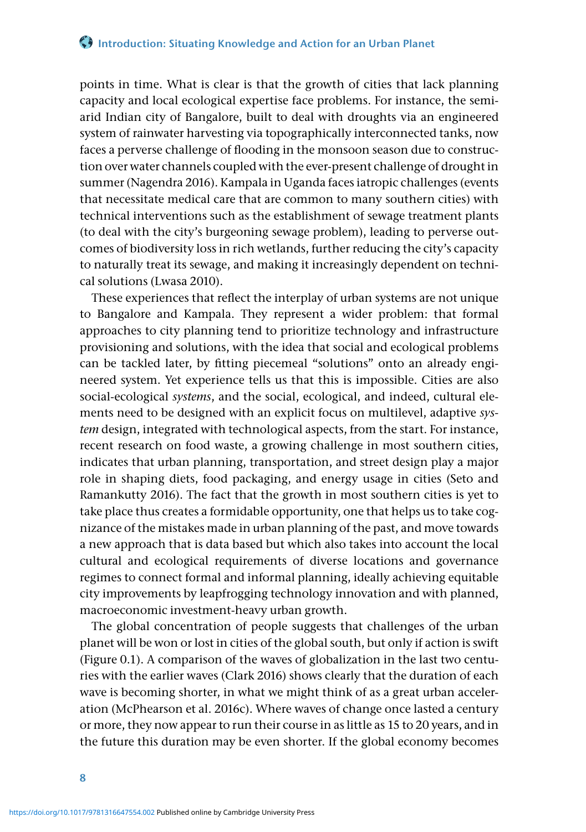points in time. What is clear is that the growth of cities that lack planning capacity and local ecological expertise face problems. For instance, the semiarid Indian city of Bangalore, built to deal with droughts via an engineered system of rainwater harvesting via topographically interconnected tanks, now faces a perverse challenge of flooding in the monsoon season due to construction over water channels coupled with the ever-present challenge of drought in summer (Nagendra 2016). Kampala in Uganda faces iatropic challenges (events that necessitate medical care that are common to many southern cities) with technical interventions such as the establishment of sewage treatment plants (to deal with the city's burgeoning sewage problem), leading to perverse outcomes of biodiversity loss in rich wetlands, further reducing the city's capacity to naturally treat its sewage, and making it increasingly dependent on technical solutions (Lwasa 2010).

These experiences that reflect the interplay of urban systems are not unique to Bangalore and Kampala. They represent a wider problem: that formal approaches to city planning tend to prioritize technology and infrastructure provisioning and solutions, with the idea that social and ecological problems can be tackled later, by fitting piecemeal "solutions" onto an already engineered system. Yet experience tells us that this is impossible. Cities are also social-ecological *systems*, and the social, ecological, and indeed, cultural elements need to be designed with an explicit focus on multilevel, adaptive *system* design, integrated with technological aspects, from the start. For instance, recent research on food waste, a growing challenge in most southern cities, indicates that urban planning, transportation, and street design play a major role in shaping diets, food packaging, and energy usage in cities (Seto and Ramankutty 2016). The fact that the growth in most southern cities is yet to take place thus creates a formidable opportunity, one that helps us to take cognizance of the mistakes made in urban planning of the past, and move towards a new approach that is data based but which also takes into account the local cultural and ecological requirements of diverse locations and governance regimes to connect formal and informal planning, ideally achieving equitable city improvements by leapfrogging technology innovation and with planned, macroeconomic investment-heavy urban growth.

The global concentration of people suggests that challenges of the urban planet will be won or lost in cities of the global south, but only if action is swift (Figure 0.1). A comparison of the waves of globalization in the last two centuries with the earlier waves (Clark 2016) shows clearly that the duration of each wave is becoming shorter, in what we might think of as a great urban acceleration (McPhearson et al. 2016c). Where waves of change once lasted a century or more, they now appear to run their course in as little as 15 to 20 years, and in the future this duration may be even shorter. If the global economy becomes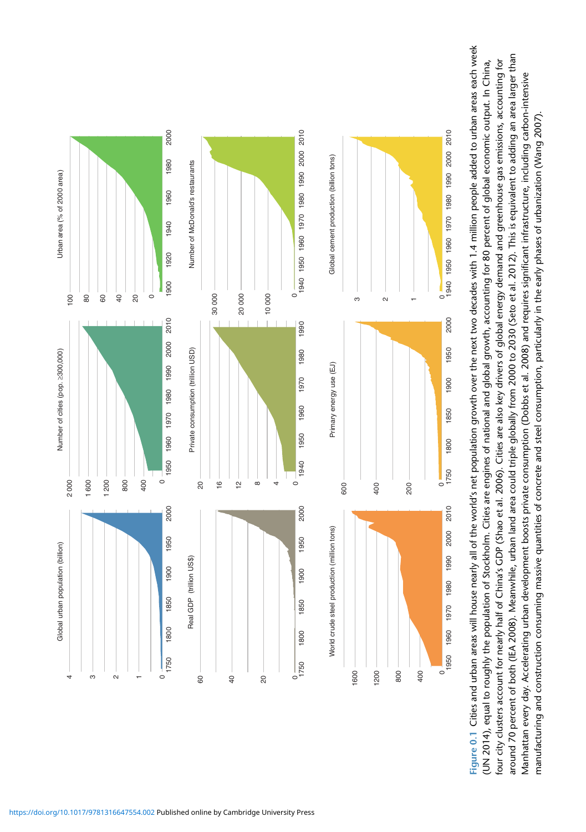**Figure 0.1** Cities and urban areas will house nearly all of the world's net population growth over the next two decades with 1.4 million people added to urban areas each week Figure 0.1 Cities and urban areas will house nearly all of the world's net population growth over the next two decades with 1.4 million people added to urban areas each week around 70 percent of both (IEA 2008). Meanwhile, urban land area could triple globally from 2000 to 2030 (Seto et al. 2012). This is equivalent to adding an area larger than around 70 percent of both (IEA 2008). Meanwhile, urban land area could triple globally from 2000 to 2030 (Seto et al. 2012). This is equivalent to adding an area larger than (UN 2014), equal to roughly the population of Stockholm. Cities are engines of national and global growth, accounting for 80 percent of global economic output. In China, four city clusters account for nearly half of China's GDP (Shao et al. 2006). Cities are also key drivers of global energy demand and greenhouse gas emissions, accounting for (UN 2014), equal to roughly the population of Stockholm. Cities are engines of national and global growth, accounting for 80 percent of global economic output. In China, four city clusters account for nearly half of China's GDP (Shao et al. 2006). Cities are also key drivers of global energy demand and greenhouse gas emissions, accounting for Manhattan every day. Accelerating urban development boosts private consumption (Dobbs et al. 2008) and requires significant infrastructure, including carbon-intensive Manhattan every day. Accelerating urban development boosts private consumption (Dobbs et al. 2008) and requires significant infrastructure, including carbon-intensive manufacturing and construction consuming massive quantities of concrete and steel consumption, particularly in the early phases of urbanization (Wang 2007). manufacturing and construction consuming massive quantities of concrete and steel consumption, particularly in the early phases of urbanization (Wang 2007).

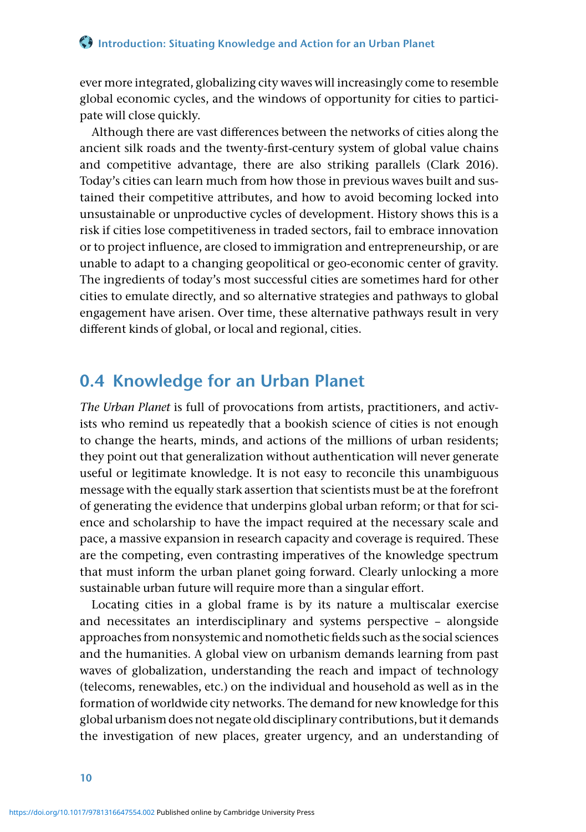ever more integrated, globalizing city waves will increasingly come to resemble global economic cycles, and the windows of opportunity for cities to participate will close quickly.

Although there are vast differences between the networks of cities along the ancient silk roads and the twenty-first-century system of global value chains and competitive advantage, there are also striking parallels (Clark 2016). Today's cities can learn much from how those in previous waves built and sustained their competitive attributes, and how to avoid becoming locked into unsustainable or unproductive cycles of development. History shows this is a risk if cities lose competitiveness in traded sectors, fail to embrace innovation or to project influence, are closed to immigration and entrepreneurship, or are unable to adapt to a changing geopolitical or geo-economic center of gravity. The ingredients of today's most successful cities are sometimes hard for other cities to emulate directly, and so alternative strategies and pathways to global engagement have arisen. Over time, these alternative pathways result in very different kinds of global, or local and regional, cities.

### **0.4 Knowledge for an Urban Planet**

*The Urban Planet* is full of provocations from artists, practitioners, and activists who remind us repeatedly that a bookish science of cities is not enough to change the hearts, minds, and actions of the millions of urban residents; they point out that generalization without authentication will never generate useful or legitimate knowledge. It is not easy to reconcile this unambiguous message with the equally stark assertion that scientists must be at the forefront of generating the evidence that underpins global urban reform; or that for science and scholarship to have the impact required at the necessary scale and pace, a massive expansion in research capacity and coverage is required. These are the competing, even contrasting imperatives of the knowledge spectrum that must inform the urban planet going forward. Clearly unlocking a more sustainable urban future will require more than a singular effort.

Locating cities in a global frame is by its nature a multiscalar exercise and necessitates an interdisciplinary and systems perspective – alongside approaches from nonsystemic and nomothetic fields such as the social sciences and the humanities. A global view on urbanism demands learning from past waves of globalization, understanding the reach and impact of technology (telecoms, renewables, etc.) on the individual and household as well as in the formation of worldwide city networks. The demand for new knowledge for this global urbanism does not negate old disciplinary contributions, but it demands the investigation of new places, greater urgency, and an understanding of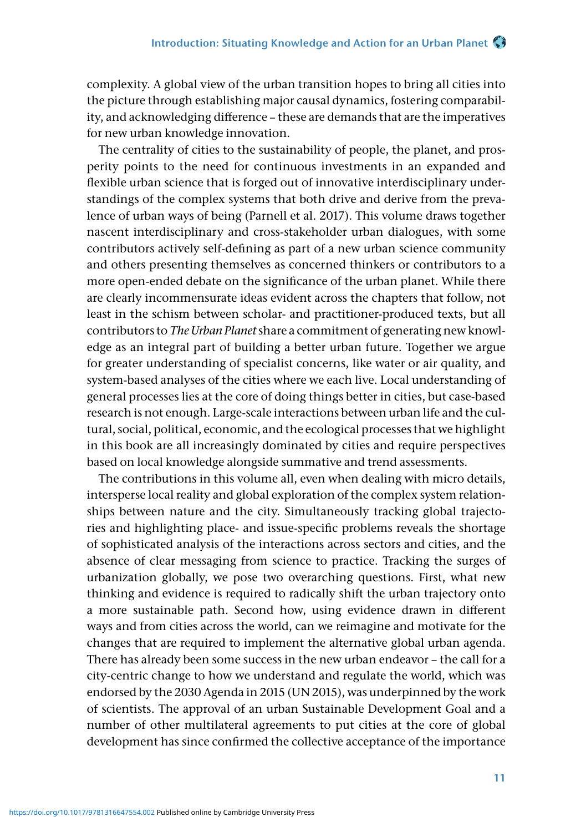complexity. A global view of the urban transition hopes to bring all cities into the picture through establishing major causal dynamics, fostering comparability, and acknowledging difference – these are demands that are the imperatives for new urban knowledge innovation.

The centrality of cities to the sustainability of people, the planet, and prosperity points to the need for continuous investments in an expanded and flexible urban science that is forged out of innovative interdisciplinary understandings of the complex systems that both drive and derive from the prevalence of urban ways of being (Parnell et al. 2017). This volume draws together nascent interdisciplinary and cross-stakeholder urban dialogues, with some contributors actively self-defining as part of a new urban science community and others presenting themselves as concerned thinkers or contributors to a more open-ended debate on the significance of the urban planet. While there are clearly incommensurate ideas evident across the chapters that follow, not least in the schism between scholar- and practitioner-produced texts, but all contributors to *The Urban Planet* share a commitment of generating new knowledge as an integral part of building a better urban future. Together we argue for greater understanding of specialist concerns, like water or air quality, and system-based analyses of the cities where we each live. Local understanding of general processes lies at the core of doing things better in cities, but case-based research is not enough. Large-scale interactions between urban life and the cultural, social, political, economic, and the ecological processes that we highlight in this book are all increasingly dominated by cities and require perspectives based on local knowledge alongside summative and trend assessments.

The contributions in this volume all, even when dealing with micro details, intersperse local reality and global exploration of the complex system relationships between nature and the city. Simultaneously tracking global trajectories and highlighting place- and issue-specific problems reveals the shortage of sophisticated analysis of the interactions across sectors and cities, and the absence of clear messaging from science to practice. Tracking the surges of urbanization globally, we pose two overarching questions. First, what new thinking and evidence is required to radically shift the urban trajectory onto a more sustainable path. Second how, using evidence drawn in different ways and from cities across the world, can we reimagine and motivate for the changes that are required to implement the alternative global urban agenda. There has already been some success in the new urban endeavor – the call for a city-centric change to how we understand and regulate the world, which was endorsed by the 2030 Agenda in 2015 (UN 2015), was underpinned by the work of scientists. The approval of an urban Sustainable Development Goal and a number of other multilateral agreements to put cities at the core of global development has since confirmed the collective acceptance of the importance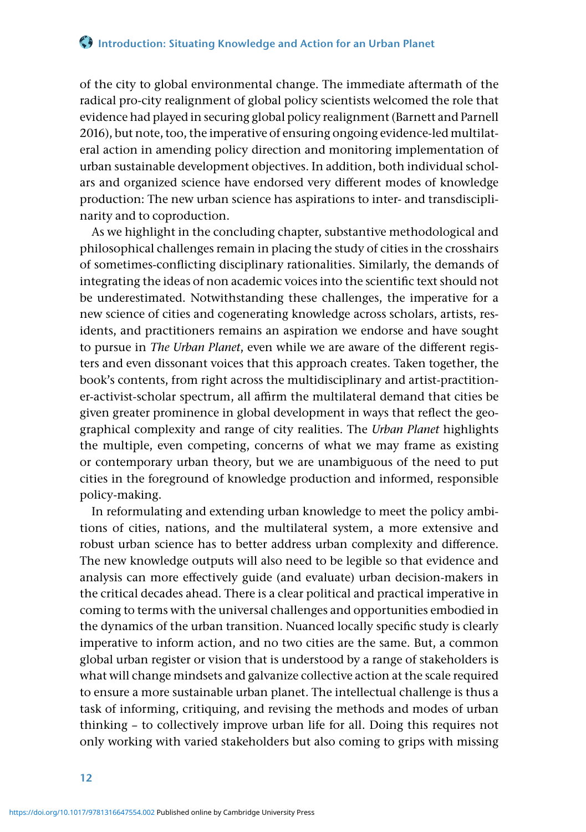of the city to global environmental change. The immediate aftermath of the radical pro-city realignment of global policy scientists welcomed the role that evidence had played in securing global policy realignment (Barnett and Parnell 2016), but note, too, the imperative of ensuring ongoing evidence-led multilateral action in amending policy direction and monitoring implementation of urban sustainable development objectives. In addition, both individual scholars and organized science have endorsed very different modes of knowledge production: The new urban science has aspirations to inter- and transdisciplinarity and to coproduction.

As we highlight in the concluding chapter, substantive methodological and philosophical challenges remain in placing the study of cities in the crosshairs of sometimes-conflicting disciplinary rationalities. Similarly, the demands of integrating the ideas of non academic voices into the scientific text should not be underestimated. Notwithstanding these challenges, the imperative for a new science of cities and cogenerating knowledge across scholars, artists, residents, and practitioners remains an aspiration we endorse and have sought to pursue in *The Urban Planet*, even while we are aware of the different registers and even dissonant voices that this approach creates. Taken together, the book's contents, from right across the multidisciplinary and artist-practitioner-activist-scholar spectrum, all affirm the multilateral demand that cities be given greater prominence in global development in ways that reflect the geographical complexity and range of city realities. The *Urban Planet* highlights the multiple, even competing, concerns of what we may frame as existing or contemporary urban theory, but we are unambiguous of the need to put cities in the foreground of knowledge production and informed, responsible policy-making.

In reformulating and extending urban knowledge to meet the policy ambitions of cities, nations, and the multilateral system, a more extensive and robust urban science has to better address urban complexity and difference. The new knowledge outputs will also need to be legible so that evidence and analysis can more effectively guide (and evaluate) urban decision-makers in the critical decades ahead. There is a clear political and practical imperative in coming to terms with the universal challenges and opportunities embodied in the dynamics of the urban transition. Nuanced locally specific study is clearly imperative to inform action, and no two cities are the same. But, a common global urban register or vision that is understood by a range of stakeholders is what will change mindsets and galvanize collective action at the scale required to ensure a more sustainable urban planet. The intellectual challenge is thus a task of informing, critiquing, and revising the methods and modes of urban thinking – to collectively improve urban life for all. Doing this requires not only working with varied stakeholders but also coming to grips with missing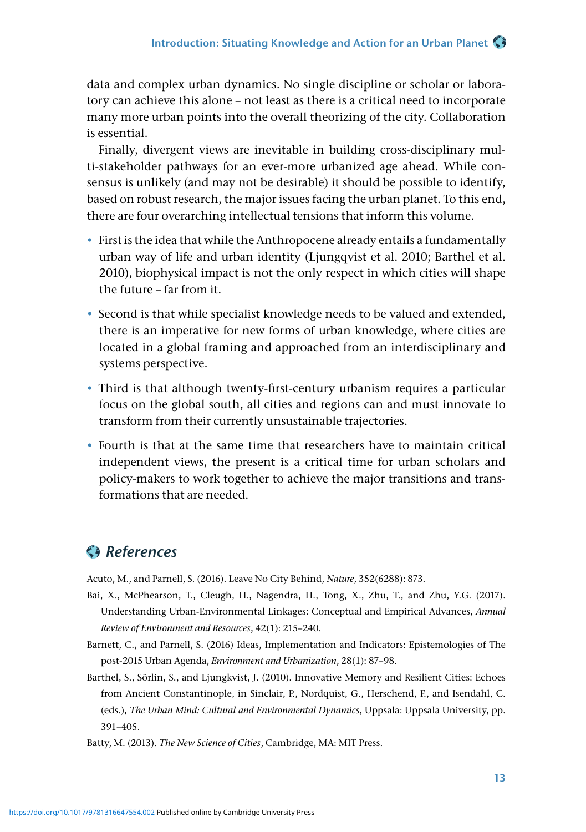data and complex urban dynamics. No single discipline or scholar or laboratory can achieve this alone – not least as there is a critical need to incorporate many more urban points into the overall theorizing of the city. Collaboration is essential.

Finally, divergent views are inevitable in building cross-disciplinary multi-stakeholder pathways for an ever-more urbanized age ahead. While consensus is unlikely (and may not be desirable) it should be possible to identify, based on robust research, the major issues facing the urban planet. To this end, there are four overarching intellectual tensions that inform this volume.

- First is the idea that while the Anthropocene already entails a fundamentally urban way of life and urban identity (Ljungqvist et al. 2010; Barthel et al. 2010), biophysical impact is not the only respect in which cities will shape the future – far from it.
- Second is that while specialist knowledge needs to be valued and extended, there is an imperative for new forms of urban knowledge, where cities are located in a global framing and approached from an interdisciplinary and systems perspective.
- Third is that although twenty-first-century urbanism requires a particular focus on the global south, all cities and regions can and must innovate to transform from their currently unsustainable trajectories.
- Fourth is that at the same time that researchers have to maintain critical independent views, the present is a critical time for urban scholars and policy-makers to work together to achieve the major transitions and transformations that are needed.

# *References*

Acuto, M., and Parnell, S. (2016). Leave No City Behind, *Nature*, 352(6288): 873.

- Bai, X., McPhearson, T., Cleugh, H., Nagendra, H., Tong, X., Zhu, T., and Zhu, Y.G. (2017). Understanding Urban-Environmental Linkages: Conceptual and Empirical Advances, *Annual Review of Environment and Resources*, 42(1): 215–240.
- Barnett, C., and Parnell, S. (2016) Ideas, Implementation and Indicators: Epistemologies of The post-2015 Urban Agenda, *Environment and Urbanization*, 28(1): 87–98.
- Barthel, S., Sörlin, S., and Ljungkvist, J. (2010). Innovative Memory and Resilient Cities: Echoes from Ancient Constantinople, in Sinclair, P., Nordquist, G., Herschend, F., and Isendahl, C. (eds.), *The Urban Mind: Cultural and Environmental Dynamics*, Uppsala: Uppsala University, pp. 391–405.

Batty, M. (2013). *The New Science of Cities*, Cambridge, MA: MIT Press.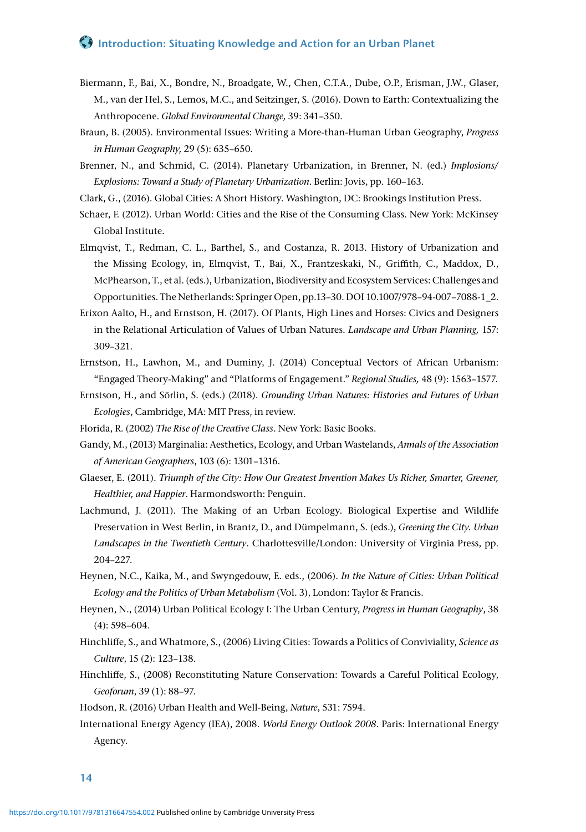#### **Introduction: Situating Knowledge and Action for an Urban Planet**

- Biermann, F., Bai, X., Bondre, N., Broadgate, W., Chen, C.T.A., Dube, O.P., Erisman, J.W., Glaser, M., van der Hel, S., Lemos, M.C., and Seitzinger, S. (2016). Down to Earth: Contextualizing the Anthropocene. *Global Environmental Change,* 39: 341–350.
- Braun, B. (2005). Environmental Issues: Writing a More-than-Human Urban Geography, *Progress in Human Geography,* 29 (5): 635–650.
- Brenner, N., and Schmid, C. (2014). Planetary Urbanization, in Brenner, N. (ed.) *Implosions/ Explosions: Toward a Study of Planetary Urbanization*. Berlin: Jovis, pp. 160–163.
- Clark, G., (2016). Global Cities: A Short History. Washington, DC: Brookings Institution Press.
- Schaer, F. (2012). Urban World: Cities and the Rise of the Consuming Class. New York: McKinsey Global Institute.
- Elmqvist, T., Redman, C. L., Barthel, S., and Costanza, R. 2013. History of Urbanization and the Missing Ecology, in, Elmqvist, T., Bai, X., Frantzeskaki, N., Griffith, C., Maddox, D., McPhearson, T., et al. (eds.), Urbanization, Biodiversity and Ecosystem Services: Challenges and Opportunities. The Netherlands: Springer Open, pp.13–30. DOI 10.1007/978–94-007–7088-1\_2.
- Erixon Aalto, H., and Ernstson, H. (2017). Of Plants, High Lines and Horses: Civics and Designers in the Relational Articulation of Values of Urban Natures. *Landscape and Urban Planning,* 157: 309–321.
- Ernstson, H., Lawhon, M., and Duminy, J. (2014) Conceptual Vectors of African Urbanism: "Engaged Theory-Making" and "Platforms of Engagement." *Regional Studies,* 48 (9): 1563–1577.
- Ernstson, H., and Sörlin, S. (eds.) (2018). *Grounding Urban Natures: Histories and Futures of Urban Ecologies*, Cambridge, MA: MIT Press, in review.
- Florida, R. (2002) *The Rise of the Creative Class*. New York: Basic Books.
- Gandy, M., (2013) Marginalia: Aesthetics, Ecology, and Urban Wastelands, *Annals of the Association of American Geographers*, 103 (6): 1301–1316.
- Glaeser, E. (2011). *Triumph of the City: How Our Greatest Invention Makes Us Richer, Smarter, Greener, Healthier, and Happier*. Harmondsworth: Penguin.
- Lachmund, J. (2011). The Making of an Urban Ecology. Biological Expertise and Wildlife Preservation in West Berlin, in Brantz, D., and Dümpelmann, S. (eds.), *Greening the City. Urban Landscapes in the Twentieth Century*. Charlottesville/London: University of Virginia Press, pp. 204–227.
- Heynen, N.C., Kaika, M., and Swyngedouw, E. eds., (2006). *In the Nature of Cities: Urban Political Ecology and the Politics of Urban Metabolism* (Vol. 3), London: Taylor & Francis.
- Heynen, N., (2014) Urban Political Ecology I: The Urban Century, *Progress in Human Geography*, 38 (4): 598–604.
- Hinchliffe, S., and Whatmore, S., (2006) Living Cities: Towards a Politics of Conviviality, *Science as Culture*, 15 (2): 123–138.
- Hinchliffe, S., (2008) Reconstituting Nature Conservation: Towards a Careful Political Ecology, *Geoforum*, 39 (1): 88–97.
- Hodson, R. (2016) Urban Health and Well-Being, *Nature*, 531: 7594.
- International Energy Agency (IEA), 2008. *World Energy Outlook 2008*. Paris: International Energy Agency.

**14**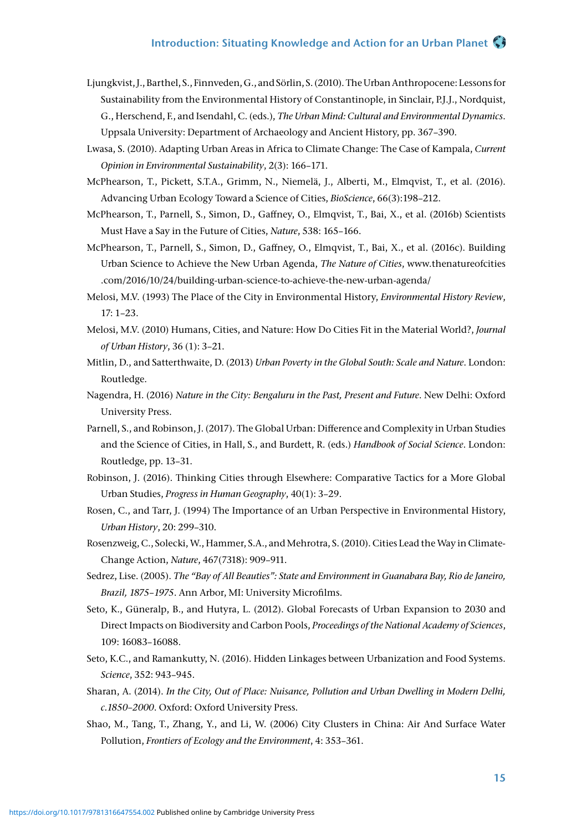- Ljungkvist, J., Barthel, S., Finnveden, G., and Sörlin, S. (2010). The Urban Anthropocene: Lessons for Sustainability from the Environmental History of Constantinople, in Sinclair, P.J.J., Nordquist, G., Herschend, F., and Isendahl, C. (eds.), *The Urban Mind: Cultural and Environmental Dynamics*. Uppsala University: Department of Archaeology and Ancient History, pp. 367–390.
- Lwasa, S. (2010). Adapting Urban Areas in Africa to Climate Change: The Case of Kampala, *Current Opinion in Environmental Sustainability*, 2(3): 166–171.
- McPhearson, T., Pickett, S.T.A., Grimm, N., Niemelä, J., Alberti, M., Elmqvist, T., et al. (2016). Advancing Urban Ecology Toward a Science of Cities, *BioScience*, 66(3):198–212.
- McPhearson, T., Parnell, S., Simon, D., Gaffney, O., Elmqvist, T., Bai, X., et al. (2016b) Scientists Must Have a Say in the Future of Cities, *Nature*, 538: 165–166.
- McPhearson, T., Parnell, S., Simon, D., Gaffney, O., Elmqvist, T., Bai, X., et al. (2016c). Building Urban Science to Achieve the New Urban Agenda, *The Nature of Cities*, www.thenatureofcities .com/2016/10/24/building-urban-science-to-achieve-the-new-urban-agenda/
- Melosi, M.V. (1993) The Place of the City in Environmental History, *Environmental History Review*, 17: 1–23.
- Melosi, M.V. (2010) Humans, Cities, and Nature: How Do Cities Fit in the Material World?, *Journal of Urban History*, 36 (1): 3–21.
- Mitlin, D., and Satterthwaite, D. (2013) *Urban Poverty in the Global South: Scale and Nature*. London: Routledge.
- Nagendra, H. (2016) *Nature in the City: Bengaluru in the Past, Present and Future*. New Delhi: Oxford University Press.
- Parnell, S., and Robinson, J. (2017). The Global Urban: Difference and Complexity in Urban Studies and the Science of Cities, in Hall, S., and Burdett, R. (eds.) *Handbook of Social Science*. London: Routledge, pp. 13–31.
- Robinson, J. (2016). Thinking Cities through Elsewhere: Comparative Tactics for a More Global Urban Studies, *Progress in Human Geography*, 40(1): 3–29.
- Rosen, C., and Tarr, J. (1994) The Importance of an Urban Perspective in Environmental History, *Urban History*, 20: 299–310.
- Rosenzweig, C., Solecki, W., Hammer, S.A., and Mehrotra, S. (2010). Cities Lead the Way in Climate-Change Action, *Nature*, 467(7318): 909–911.
- Sedrez, Lise. (2005). *The "Bay of All Beauties": State and Environment in Guanabara Bay, Rio de Janeiro, Brazil, 1875–1975*. Ann Arbor, MI: University Microfilms.
- Seto, K., Güneralp, B., and Hutyra, L. (2012). Global Forecasts of Urban Expansion to 2030 and Direct Impacts on Biodiversity and Carbon Pools, *Proceedings of the National Academy of Sciences*, 109: 16083–16088.
- Seto, K.C., and Ramankutty, N. (2016). Hidden Linkages between Urbanization and Food Systems. *Science*, 352: 943–945.
- Sharan, A. (2014). *In the City, Out of Place: Nuisance, Pollution and Urban Dwelling in Modern Delhi, c.1850–2000*. Oxford: Oxford University Press.
- Shao, M., Tang, T., Zhang, Y., and Li, W. (2006) City Clusters in China: Air And Surface Water Pollution, *Frontiers of Ecology and the Environment*, 4: 353–361.